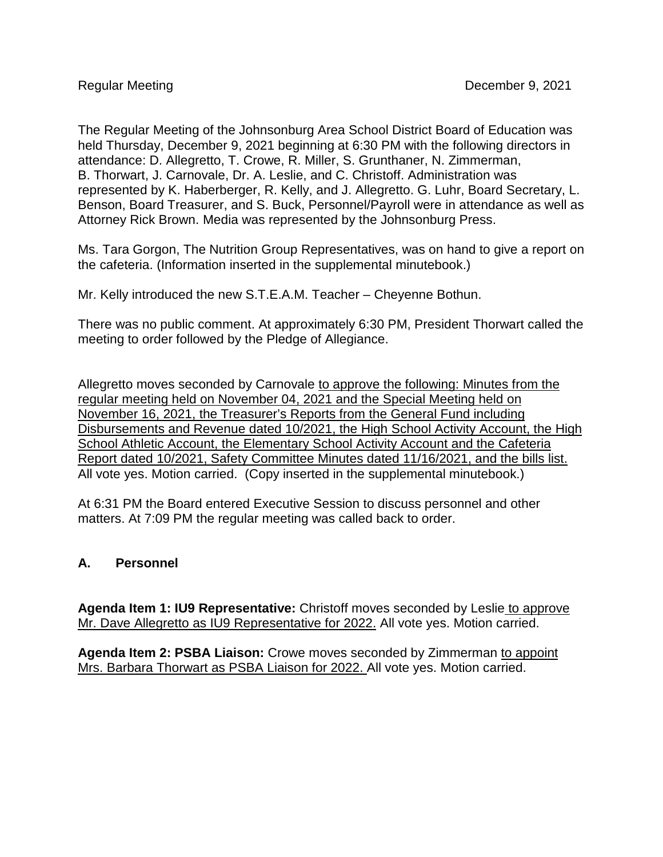The Regular Meeting of the Johnsonburg Area School District Board of Education was held Thursday, December 9, 2021 beginning at 6:30 PM with the following directors in attendance: D. Allegretto, T. Crowe, R. Miller, S. Grunthaner, N. Zimmerman, B. Thorwart, J. Carnovale, Dr. A. Leslie, and C. Christoff. Administration was represented by K. Haberberger, R. Kelly, and J. Allegretto. G. Luhr, Board Secretary, L. Benson, Board Treasurer, and S. Buck, Personnel/Payroll were in attendance as well as Attorney Rick Brown. Media was represented by the Johnsonburg Press.

Ms. Tara Gorgon, The Nutrition Group Representatives, was on hand to give a report on the cafeteria. (Information inserted in the supplemental minutebook.)

Mr. Kelly introduced the new S.T.E.A.M. Teacher – Cheyenne Bothun.

There was no public comment. At approximately 6:30 PM, President Thorwart called the meeting to order followed by the Pledge of Allegiance.

Allegretto moves seconded by Carnovale to approve the following: Minutes from the regular meeting held on November 04, 2021 and the Special Meeting held on November 16, 2021, the Treasurer's Reports from the General Fund including Disbursements and Revenue dated 10/2021, the High School Activity Account, the High School Athletic Account, the Elementary School Activity Account and the Cafeteria Report dated 10/2021, Safety Committee Minutes dated 11/16/2021, and the bills list. All vote yes. Motion carried. (Copy inserted in the supplemental minutebook.)

At 6:31 PM the Board entered Executive Session to discuss personnel and other matters. At 7:09 PM the regular meeting was called back to order.

## **A. Personnel**

**Agenda Item 1: IU9 Representative:** Christoff moves seconded by Leslie to approve Mr. Dave Allegretto as IU9 Representative for 2022. All vote yes. Motion carried.

**Agenda Item 2: PSBA Liaison:** Crowe moves seconded by Zimmerman to appoint Mrs. Barbara Thorwart as PSBA Liaison for 2022. All vote yes. Motion carried.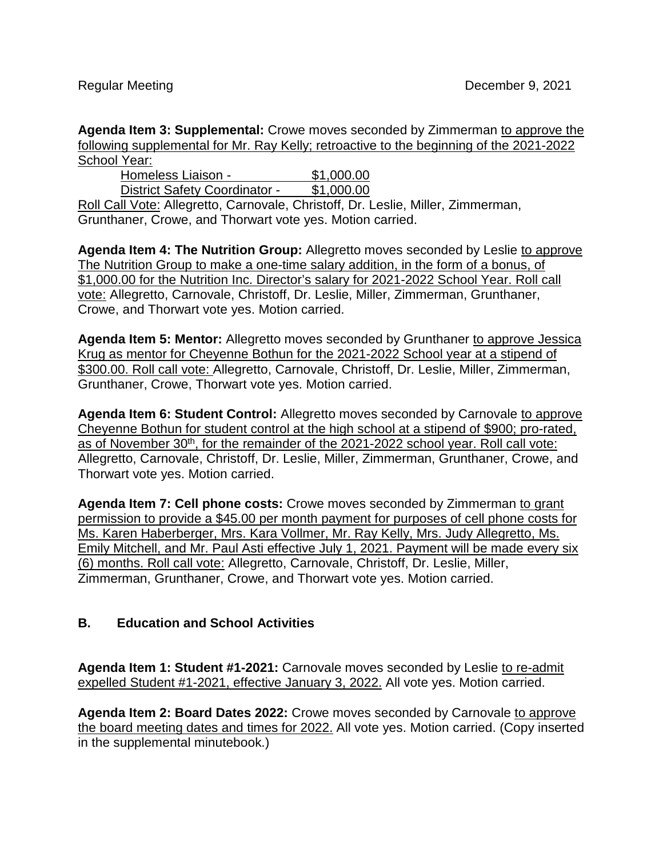**Agenda Item 3: Supplemental:** Crowe moves seconded by Zimmerman to approve the following supplemental for Mr. Ray Kelly; retroactive to the beginning of the 2021-2022 School Year:

Homeless Liaison - \$1,000.00<br>District Safety Coordinator - \$1,000.00 District Safety Coordinator -

Roll Call Vote: Allegretto, Carnovale, Christoff, Dr. Leslie, Miller, Zimmerman, Grunthaner, Crowe, and Thorwart vote yes. Motion carried.

**Agenda Item 4: The Nutrition Group:** Allegretto moves seconded by Leslie to approve The Nutrition Group to make a one-time salary addition, in the form of a bonus, of \$1,000.00 for the Nutrition Inc. Director's salary for 2021-2022 School Year. Roll call vote: Allegretto, Carnovale, Christoff, Dr. Leslie, Miller, Zimmerman, Grunthaner, Crowe, and Thorwart vote yes. Motion carried.

**Agenda Item 5: Mentor:** Allegretto moves seconded by Grunthaner to approve Jessica Krug as mentor for Cheyenne Bothun for the 2021-2022 School year at a stipend of \$300.00. Roll call vote: Allegretto, Carnovale, Christoff, Dr. Leslie, Miller, Zimmerman, Grunthaner, Crowe, Thorwart vote yes. Motion carried.

**Agenda Item 6: Student Control:** Allegretto moves seconded by Carnovale to approve Cheyenne Bothun for student control at the high school at a stipend of \$900; pro-rated, as of November 30<sup>th</sup>, for the remainder of the 2021-2022 school year. Roll call vote: Allegretto, Carnovale, Christoff, Dr. Leslie, Miller, Zimmerman, Grunthaner, Crowe, and Thorwart vote yes. Motion carried.

**Agenda Item 7: Cell phone costs:** Crowe moves seconded by Zimmerman to grant permission to provide a \$45.00 per month payment for purposes of cell phone costs for Ms. Karen Haberberger, Mrs. Kara Vollmer, Mr. Ray Kelly, Mrs. Judy Allegretto, Ms. Emily Mitchell, and Mr. Paul Asti effective July 1, 2021. Payment will be made every six (6) months. Roll call vote: Allegretto, Carnovale, Christoff, Dr. Leslie, Miller, Zimmerman, Grunthaner, Crowe, and Thorwart vote yes. Motion carried.

## **B. Education and School Activities**

**Agenda Item 1: Student #1-2021:** Carnovale moves seconded by Leslie to re-admit expelled Student #1-2021, effective January 3, 2022. All vote yes. Motion carried.

**Agenda Item 2: Board Dates 2022:** Crowe moves seconded by Carnovale to approve the board meeting dates and times for 2022. All vote yes. Motion carried. (Copy inserted in the supplemental minutebook.)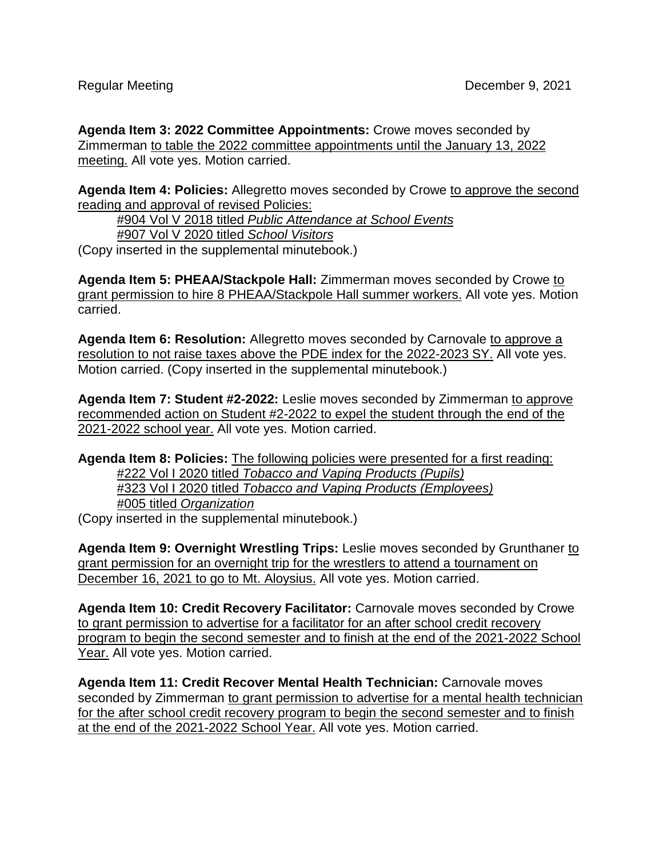**Agenda Item 3: 2022 Committee Appointments:** Crowe moves seconded by Zimmerman to table the 2022 committee appointments until the January 13, 2022 meeting. All vote yes. Motion carried.

**Agenda Item 4: Policies:** Allegretto moves seconded by Crowe to approve the second reading and approval of revised Policies:

#904 Vol V 2018 titled *Public Attendance at School Events*

#907 Vol V 2020 titled *School Visitors*

(Copy inserted in the supplemental minutebook.)

**Agenda Item 5: PHEAA/Stackpole Hall:** Zimmerman moves seconded by Crowe to grant permission to hire 8 PHEAA/Stackpole Hall summer workers. All vote yes. Motion carried.

**Agenda Item 6: Resolution:** Allegretto moves seconded by Carnovale to approve a resolution to not raise taxes above the PDE index for the 2022-2023 SY. All vote yes. Motion carried. (Copy inserted in the supplemental minutebook.)

**Agenda Item 7: Student #2-2022:** Leslie moves seconded by Zimmerman to approve recommended action on Student #2-2022 to expel the student through the end of the 2021-2022 school year. All vote yes. Motion carried.

**Agenda Item 8: Policies:** The following policies were presented for a first reading: #222 Vol I 2020 titled *Tobacco and Vaping Products (Pupils)*  #323 Vol I 2020 titled *Tobacco and Vaping Products (Employees)* #005 titled *Organization*

(Copy inserted in the supplemental minutebook.)

**Agenda Item 9: Overnight Wrestling Trips:** Leslie moves seconded by Grunthaner to grant permission for an overnight trip for the wrestlers to attend a tournament on December 16, 2021 to go to Mt. Aloysius. All vote yes. Motion carried.

**Agenda Item 10: Credit Recovery Facilitator:** Carnovale moves seconded by Crowe to grant permission to advertise for a facilitator for an after school credit recovery program to begin the second semester and to finish at the end of the 2021-2022 School Year. All vote yes. Motion carried.

**Agenda Item 11: Credit Recover Mental Health Technician:** Carnovale moves seconded by Zimmerman to grant permission to advertise for a mental health technician for the after school credit recovery program to begin the second semester and to finish at the end of the 2021-2022 School Year. All vote yes. Motion carried.